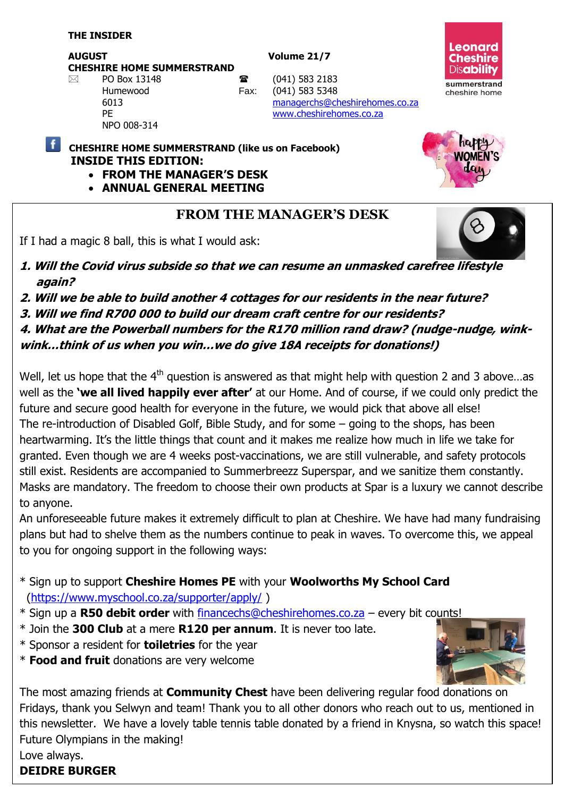**AUGUST Volume 21/7**

**CHESHIRE HOME SUMMERSTRAND**

NPO 008-314



 $\boxtimes$  PO Box 13148 **a** (041) 583 2183 Humewood Fax: (041) 583 5348 6013 [managerchs@cheshirehomes.co.za](mailto:managerchs@cheshirehomes.co.za) PE [www.cheshirehomes.co.za](http://www.cheshirehomes.co.za/)

**CHESHIRE HOME SUMMERSTRAND (like us on Facebook) INSIDE THIS EDITION:** 

- **FROM THE MANAGER'S DESK**
- **ANNUAL GENERAL MEETING**

# **FROM THE MANAGER'S DESK**

If I had a magic 8 ball, this is what I would ask:



**DMEN'S** 

- **1. Will the Covid virus subside so that we can resume an unmasked carefree lifestyle again?**
- **2. Will we be able to build another 4 cottages for our residents in the near future?**
- **3. Will we find R700 000 to build our dream craft centre for our residents?**
- **4. What are the Powerball numbers for the R170 million rand draw? (nudge-nudge, wink-**

**wink…think of us when you win…we do give 18A receipts for donations!)**

Well, let us hope that the  $4<sup>th</sup>$  question is answered as that might help with question 2 and 3 above...as well as the **'we all lived happily ever after'** at our Home. And of course, if we could only predict the future and secure good health for everyone in the future, we would pick that above all else! The re-introduction of Disabled Golf, Bible Study, and for some – going to the shops, has been heartwarming. It's the little things that count and it makes me realize how much in life we take for granted. Even though we are 4 weeks post-vaccinations, we are still vulnerable, and safety protocols still exist. Residents are accompanied to Summerbreezz Superspar, and we sanitize them constantly. Masks are mandatory. The freedom to choose their own products at Spar is a luxury we cannot describe to anyone.

An unforeseeable future makes it extremely difficult to plan at Cheshire. We have had many fundraising plans but had to shelve them as the numbers continue to peak in waves. To overcome this, we appeal to you for ongoing support in the following ways:

- \* Sign up to support **Cheshire Homes PE** with your **Woolworths My School Card** [\(https://www.myschool.co.za/supporter/apply/](https://www.myschool.co.za/supporter/apply/) )
- \* Sign up a **R50 debit order** with [financechs@cheshirehomes.co.za](mailto:financechs@cheshirehomes.co.za) every bit counts!
- \* Join the **300 Club** at a mere **R120 per annum**. It is never too late.
- \* Sponsor a resident for **toiletries** for the year
- \* **Food and fruit** donations are very welcome



The most amazing friends at **Community Chest** have been delivering regular food donations on Fridays, thank you Selwyn and team! Thank you to all other donors who reach out to us, mentioned in this newsletter. We have a lovely table tennis table donated by a friend in Knysna, so watch this space! Future Olympians in the making! Love always.

## **DEIDRE BURGER**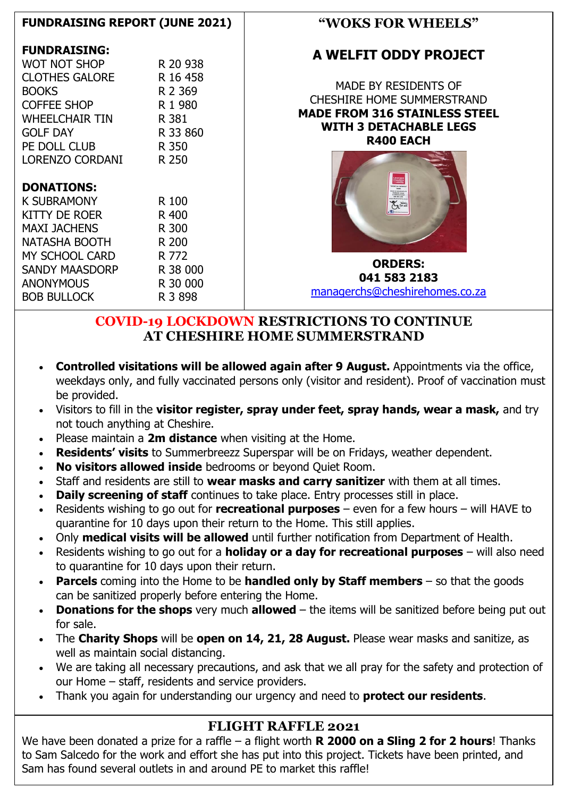## **FUNDRAISING REPORT (JUNE 2021)**

#### **FUNDRAISING:**

| WOT NOT SHOP        | R 20 938 |
|---------------------|----------|
| CLOTHES GALORE      | R 16 458 |
| <b>BOOKS</b>        | R 2 369  |
| <b>COFFEE SHOP</b>  | R 1 980  |
| WHEELCHAIR TIN      | R 381    |
| <b>GOLF DAY</b>     | R 33 860 |
| PE DOLL CLUB        | R 350    |
| LORENZO CORDANI     | R 250    |
|                     |          |
|                     |          |
| <b>DONATIONS:</b>   |          |
| <b>K SUBRAMONY</b>  | R 100    |
| KITTY DE ROER       | R 400    |
| <b>MAXI JACHENS</b> | R 300    |
| NATASHA BOOTH       | R 200    |
| MY SCHOOL CARD      | R 772    |
| SANDY MAASDORP      | R 38 000 |
| <b>ANONYMOUS</b>    | R 30 000 |
| <b>BOB BULLOCK</b>  | R 3 898  |

## **"WOKS FOR WHEELS"**

## **A WELFIT ODDY PROJECT**

MADE BY RESIDENTS OF CHESHIRE HOME SUMMERSTRAND **MADE FROM 316 STAINLESS STEEL WITH 3 DETACHABLE LEGS R400 EACH**



**ORDERS: 041 583 2183**  [managerchs@cheshirehomes.co.za](mailto:managerchs@cheshirehomes.co.za)

## **COVID-19 LOCKDOWN RESTRICTIONS TO CONTINUE AT CHESHIRE HOME SUMMERSTRAND**

- **Controlled visitations will be allowed again after 9 August.** Appointments via the office, weekdays only, and fully vaccinated persons only (visitor and resident). Proof of vaccination must be provided.
- Visitors to fill in the **visitor register, spray under feet, spray hands, wear a mask,** and try not touch anything at Cheshire.
- Please maintain a **2m distance** when visiting at the Home.
- **Residents' visits** to Summerbreezz Superspar will be on Fridays, weather dependent.
- **No visitors allowed inside** bedrooms or beyond Quiet Room.
- Staff and residents are still to **wear masks and carry sanitizer** with them at all times.
- **Daily screening of staff** continues to take place. Entry processes still in place.
- Residents wishing to go out for **recreational purposes** even for a few hours will HAVE to quarantine for 10 days upon their return to the Home. This still applies.
- Only **medical visits will be allowed** until further notification from Department of Health.
- Residents wishing to go out for a **holiday or a day for recreational purposes** will also need to quarantine for 10 days upon their return.
- **Parcels** coming into the Home to be **handled only by Staff members** so that the goods can be sanitized properly before entering the Home.
- **Donations for the shops** very much **allowed** the items will be sanitized before being put out for sale.
- The **Charity Shops** will be **open on 14, 21, 28 August.** Please wear masks and sanitize, as well as maintain social distancing.
- We are taking all necessary precautions, and ask that we all pray for the safety and protection of our Home – staff, residents and service providers.
- Thank you again for understanding our urgency and need to **protect our residents**.

## **FLIGHT RAFFLE 2021**

We have been donated a prize for a raffle – a flight worth **R 2000 on a Sling 2 for 2 hours**! Thanks to Sam Salcedo for the work and effort she has put into this project. Tickets have been printed, and Sam has found several outlets in and around PE to market this raffle!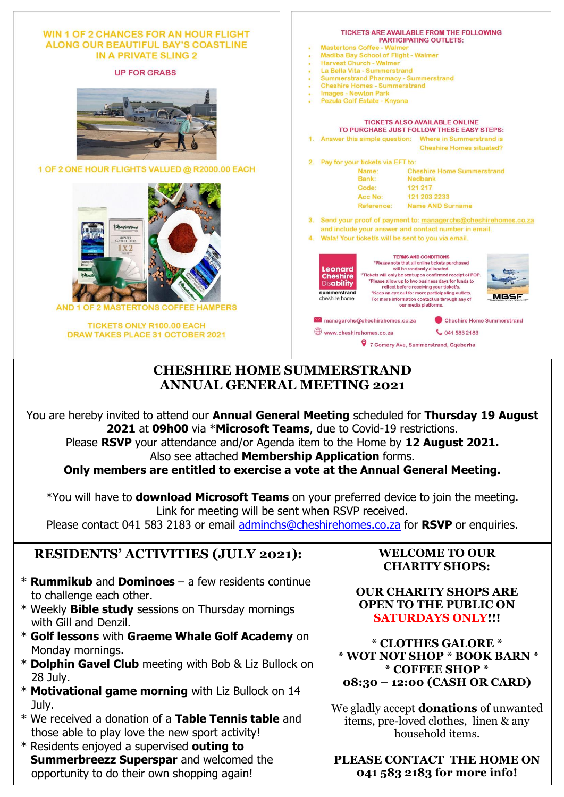| <b>WIN 1 OF 2 CHANCES FOR AN HOUR FLIGHT</b><br>ALONG OUR BEAUTIFUL BAY'S COASTLINE<br>IN A PRIVATE SLING 2 | <b>TICKETS ARE AVAILABLE FROM THE FOLLOWING</b><br><b>PARTICIPATING OUTLETS:</b><br><b>Mastertons Coffee - Walmer</b><br>Madiba Bay School of Flight - Walmer<br><b>Harvest Church - Walmer</b>                                                                                                                                                                                                                                                                                                                    |  |
|-------------------------------------------------------------------------------------------------------------|--------------------------------------------------------------------------------------------------------------------------------------------------------------------------------------------------------------------------------------------------------------------------------------------------------------------------------------------------------------------------------------------------------------------------------------------------------------------------------------------------------------------|--|
| <b>UP FOR GRABS</b>                                                                                         | La Bella Vita - Summerstrand                                                                                                                                                                                                                                                                                                                                                                                                                                                                                       |  |
|                                                                                                             | <b>Summerstrand Pharmacy - Summerstrand</b>                                                                                                                                                                                                                                                                                                                                                                                                                                                                        |  |
|                                                                                                             | <b>Cheshire Homes - Summerstrand</b><br>$\blacksquare$<br><b>Images - Newton Park</b>                                                                                                                                                                                                                                                                                                                                                                                                                              |  |
|                                                                                                             | Pezula Golf Estate - Knysna                                                                                                                                                                                                                                                                                                                                                                                                                                                                                        |  |
| <b>OOL OF FLIGHTIN</b>                                                                                      | <b>TICKETS ALSO AVAILABLE ONLINE</b><br>TO PURCHASE JUST FOLLOW THESE EASY STEPS:                                                                                                                                                                                                                                                                                                                                                                                                                                  |  |
|                                                                                                             | 1. Answer this simple question: Where in Summerstrand is                                                                                                                                                                                                                                                                                                                                                                                                                                                           |  |
|                                                                                                             | <b>Cheshire Homes situated?</b>                                                                                                                                                                                                                                                                                                                                                                                                                                                                                    |  |
|                                                                                                             | Pay for your tickets via EFT to:<br>2.                                                                                                                                                                                                                                                                                                                                                                                                                                                                             |  |
| 1 OF 2 ONE HOUR FLIGHTS VALUED @ R2000.00 EACH                                                              | Name:<br><b>Cheshire Home Summerstrand</b>                                                                                                                                                                                                                                                                                                                                                                                                                                                                         |  |
|                                                                                                             | Bank:<br><b>Nedbank</b>                                                                                                                                                                                                                                                                                                                                                                                                                                                                                            |  |
|                                                                                                             | Code:<br>121 217                                                                                                                                                                                                                                                                                                                                                                                                                                                                                                   |  |
|                                                                                                             | 121 203 2233<br>Acc No:                                                                                                                                                                                                                                                                                                                                                                                                                                                                                            |  |
|                                                                                                             | <b>Name AND Surname</b><br>Reference:                                                                                                                                                                                                                                                                                                                                                                                                                                                                              |  |
|                                                                                                             | 3. Send your proof of payment to: managerchs@cheshirehomes.co.za                                                                                                                                                                                                                                                                                                                                                                                                                                                   |  |
| <i><b><i><u><u><b>Mastertons</b></u></u></i></b></i>                                                        | and include your answer and contact number in email.                                                                                                                                                                                                                                                                                                                                                                                                                                                               |  |
| 40 PAPER<br>COFFEE FILTERS                                                                                  | 4. Wala! Your ticket/s will be sent to you via email.                                                                                                                                                                                                                                                                                                                                                                                                                                                              |  |
| 1 x 2<br>AND 1 OF 2 MASTERTONS COFFEE HAMPERS                                                               | <b>TERMS AND CONDITIONS</b><br>*Please note that all online tickets purchased<br><b>Leonard</b><br>will be randomly allocated.<br>*Tickets will only be sent upon confirmed receipt of POP.<br><b>Cheshire</b><br>*Please allow up to two business days for funds to<br><b>Disability</b><br>reflect before receiving your ticket/s.<br>summerstrand<br>*Keep an eye out for more participating outlets.<br><b>MBSF</b><br>cheshire home<br>For more information contact us through any of<br>our media platforms. |  |
| <b>TICKETS ONLY R100.00 EACH</b>                                                                            | $\blacksquare$ managerchs@cheshirehomes.co.za<br><b>Cheshire Home Summerstrand</b>                                                                                                                                                                                                                                                                                                                                                                                                                                 |  |
| <b>DRAW TAKES PLACE 31 OCTOBER 2021</b>                                                                     | www.cheshirehomes.co.za<br>0415832183                                                                                                                                                                                                                                                                                                                                                                                                                                                                              |  |
|                                                                                                             | 9 7 Gomery Ave, Summerstrand, Gqeberha                                                                                                                                                                                                                                                                                                                                                                                                                                                                             |  |

### **CHESHIRE HOME SUMMERSTRAND ANNUAL GENERAL MEETING 2021**

You are hereby invited to attend our **Annual General Meeting** scheduled for **Thursday 19 August 2021** at **09h00** via \***Microsoft Teams**, due to Covid-19 restrictions. Please **RSVP** your attendance and/or Agenda item to the Home by **12 August 2021.** 

Also see attached **Membership Application** forms.

**Only members are entitled to exercise a vote at the Annual General Meeting.**

\*You will have to **download Microsoft Teams** on your preferred device to join the meeting. Link for meeting will be sent when RSVP received.

Please contact 041 583 2183 or email [adminchs@cheshirehomes.co.za](mailto:adminchs@cheshirehomes.co.za) for **RSVP** or enquiries.

# **RESIDENTS' ACTIVITIES (JULY 2021):**

- \* **Rummikub** and **Dominoes** a few residents continue to challenge each other.
- \* Weekly **Bible study** sessions on Thursday mornings with Gill and Denzil.
- \* **Golf lessons** with **Graeme Whale Golf Academy** on Monday mornings.
- \* **Dolphin Gavel Club** meeting with Bob & Liz Bullock on 28 July.
- \* **Motivational game morning** with Liz Bullock on 14 July.
- \* We received a donation of a **Table Tennis table** and those able to play love the new sport activity!
- \* Residents enjoyed a supervised **outing to Summerbreezz Superspar** and welcomed the opportunity to do their own shopping again!

#### **WELCOME TO OUR CHARITY SHOPS:**

**OUR CHARITY SHOPS ARE OPEN TO THE PUBLIC ON SATURDAYS ONLY!!!**

**\* CLOTHES GALORE \* \* WOT NOT SHOP \* BOOK BARN \* \* COFFEE SHOP \* 08:30 – 12:00 (CASH OR CARD)**

We gladly accept **donations** of unwanted items, pre-loved clothes, linen & any household items.

**PLEASE CONTACT THE HOME ON 041 583 2183 for more info!**